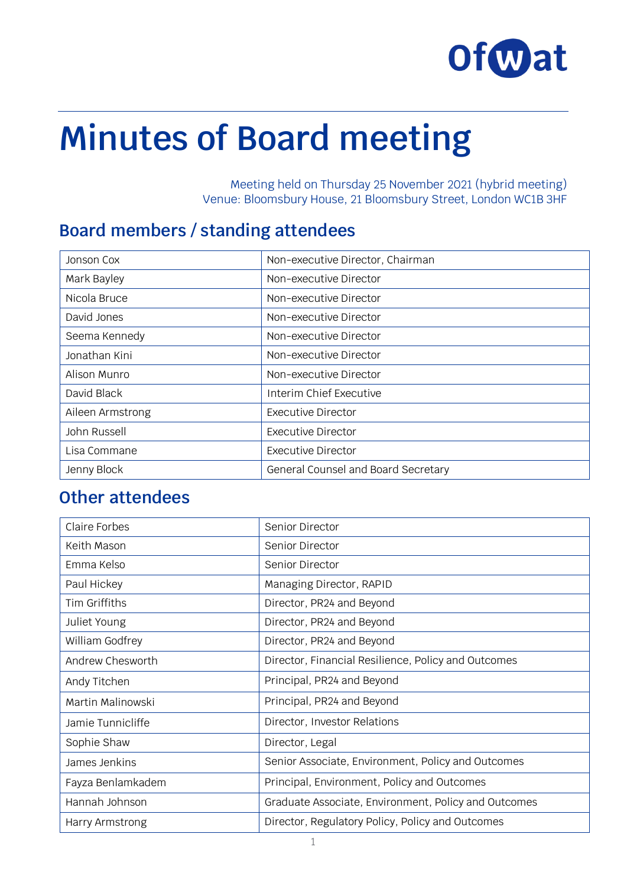

# **Minutes of Board meeting**

Meeting held on Thursday 25 November 2021 (hybrid meeting) Venue: Bloomsbury House, 21 Bloomsbury Street, London WC1B 3HF

#### **Board members / standing attendees**

| Jonson Cox       | Non-executive Director, Chairman    |
|------------------|-------------------------------------|
| Mark Bayley      | Non-executive Director              |
| Nicola Bruce     | Non-executive Director              |
| David Jones      | Non-executive Director              |
| Seema Kennedy    | Non-executive Director              |
| Jonathan Kini    | Non-executive Director              |
| Alison Munro     | Non-executive Director              |
| David Black      | Interim Chief Executive             |
| Aileen Armstrong | <b>Executive Director</b>           |
| John Russell     | <b>Executive Director</b>           |
| Lisa Commane     | <b>Executive Director</b>           |
| Jenny Block      | General Counsel and Board Secretary |

## **Other attendees**

| Senior Director                                      |
|------------------------------------------------------|
| Senior Director                                      |
| Senior Director                                      |
| Managing Director, RAPID                             |
| Director, PR24 and Beyond                            |
| Director, PR24 and Beyond                            |
| Director, PR24 and Beyond                            |
| Director, Financial Resilience, Policy and Outcomes  |
| Principal, PR24 and Beyond                           |
| Principal, PR24 and Beyond                           |
| Director, Investor Relations                         |
| Director, Legal                                      |
| Senior Associate, Environment, Policy and Outcomes   |
| Principal, Environment, Policy and Outcomes          |
| Graduate Associate, Environment, Policy and Outcomes |
| Director, Regulatory Policy, Policy and Outcomes     |
|                                                      |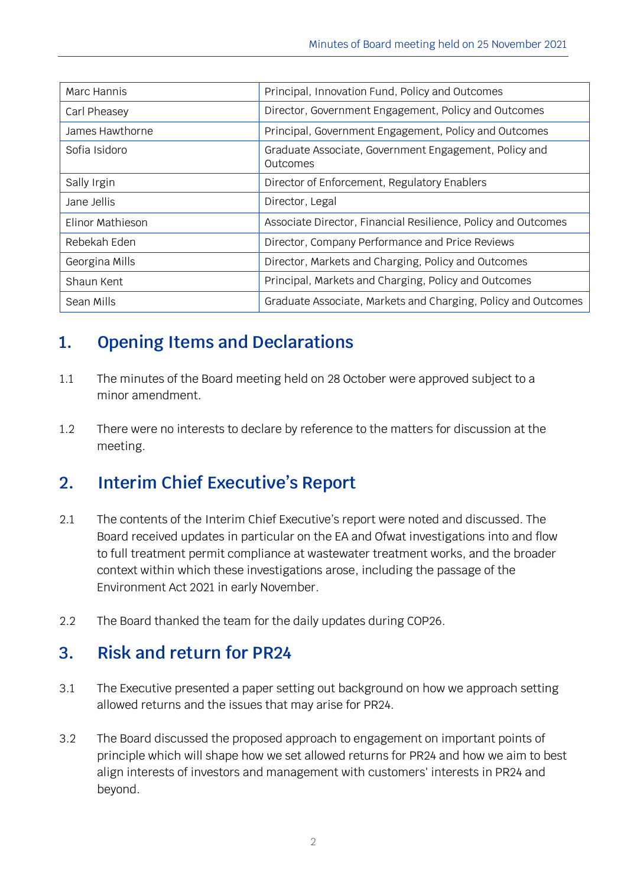| Marc Hannis      | Principal, Innovation Fund, Policy and Outcomes                   |
|------------------|-------------------------------------------------------------------|
| Carl Pheasey     | Director, Government Engagement, Policy and Outcomes              |
| James Hawthorne  | Principal, Government Engagement, Policy and Outcomes             |
| Sofia Isidoro    | Graduate Associate, Government Engagement, Policy and<br>Outcomes |
| Sally Irgin      | Director of Enforcement, Regulatory Enablers                      |
| Jane Jellis      | Director, Legal                                                   |
| Elinor Mathieson | Associate Director, Financial Resilience, Policy and Outcomes     |
| Rebekah Eden     | Director, Company Performance and Price Reviews                   |
| Georgina Mills   | Director, Markets and Charging, Policy and Outcomes               |
| Shaun Kent       | Principal, Markets and Charging, Policy and Outcomes              |
| Sean Mills       | Graduate Associate, Markets and Charging, Policy and Outcomes     |

# **1. Opening Items and Declarations**

- 1.1 The minutes of the Board meeting held on 28 October were approved subject to a minor amendment.
- 1.2 There were no interests to declare by reference to the matters for discussion at the meeting.

# **2. Interim Chief Executive's Report**

- 2.1 The contents of the Interim Chief Executive's report were noted and discussed. The Board received updates in particular on the EA and Ofwat investigations into and flow to full treatment permit compliance at wastewater treatment works, and the broader context within which these investigations arose, including the passage of the Environment Act 2021 in early November.
- 2.2 The Board thanked the team for the daily updates during COP26.

## **3. Risk and return for PR24**

- 3.1 The Executive presented a paper setting out background on how we approach setting allowed returns and the issues that may arise for PR24.
- 3.2 The Board discussed the proposed approach to engagement on important points of principle which will shape how we set allowed returns for PR24 and how we aim to best align interests of investors and management with customers' interests in PR24 and beyond.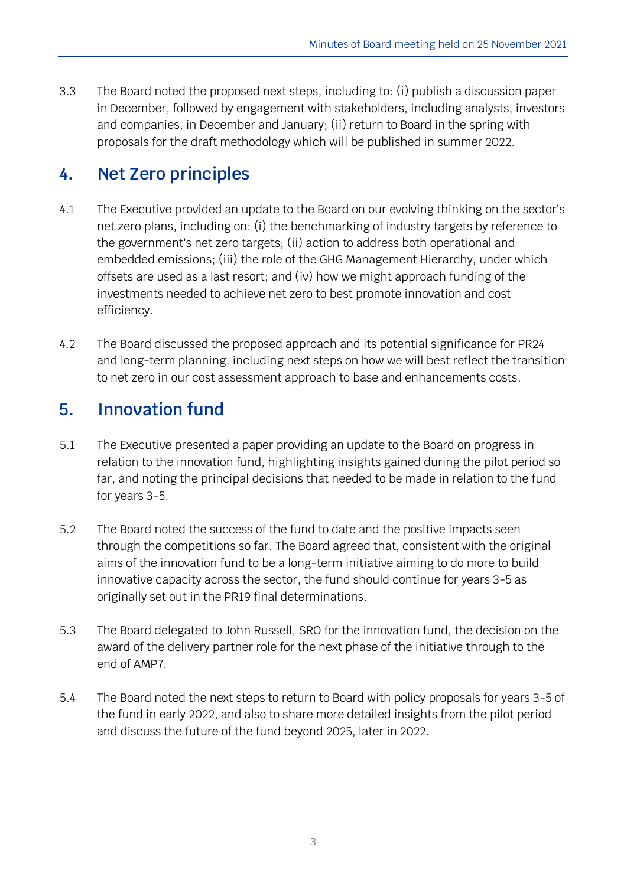3.3 The Board noted the proposed next steps, including to: (i) publish a discussion paper in December, followed by engagement with stakeholders, including analysts, investors and companies, in December and January; (ii) return to Board in the spring with proposals for the draft methodology which will be published in summer 2022.

### **4. Net Zero principles**

- 4.1 The Executive provided an update to the Board on our evolving thinking on the sector's net zero plans, including on: (i) the benchmarking of industry targets by reference to the government's net zero targets; (ii) action to address both operational and embedded emissions; (iii) the role of the GHG Management Hierarchy, under which offsets are used as a last resort; and (iv) how we might approach funding of the investments needed to achieve net zero to best promote innovation and cost efficiency.
- 4.2 The Board discussed the proposed approach and its potential significance for PR24 and long-term planning, including next steps on how we will best reflect the transition to net zero in our cost assessment approach to base and enhancements costs.

#### **5. Innovation fund**

- 5.1 The Executive presented a paper providing an update to the Board on progress in relation to the innovation fund, highlighting insights gained during the pilot period so far, and noting the principal decisions that needed to be made in relation to the fund for years 3-5.
- 5.2 The Board noted the success of the fund to date and the positive impacts seen through the competitions so far. The Board agreed that, consistent with the original aims of the innovation fund to be a long-term initiative aiming to do more to build innovative capacity across the sector, the fund should continue for years 3-5 as originally set out in the PR19 final determinations.
- 5.3 The Board delegated to John Russell, SRO for the innovation fund, the decision on the award of the delivery partner role for the next phase of the initiative through to the end of AMP7.
- 5.4 The Board noted the next steps to return to Board with policy proposals for years 3-5 of the fund in early 2022, and also to share more detailed insights from the pilot period and discuss the future of the fund beyond 2025, later in 2022.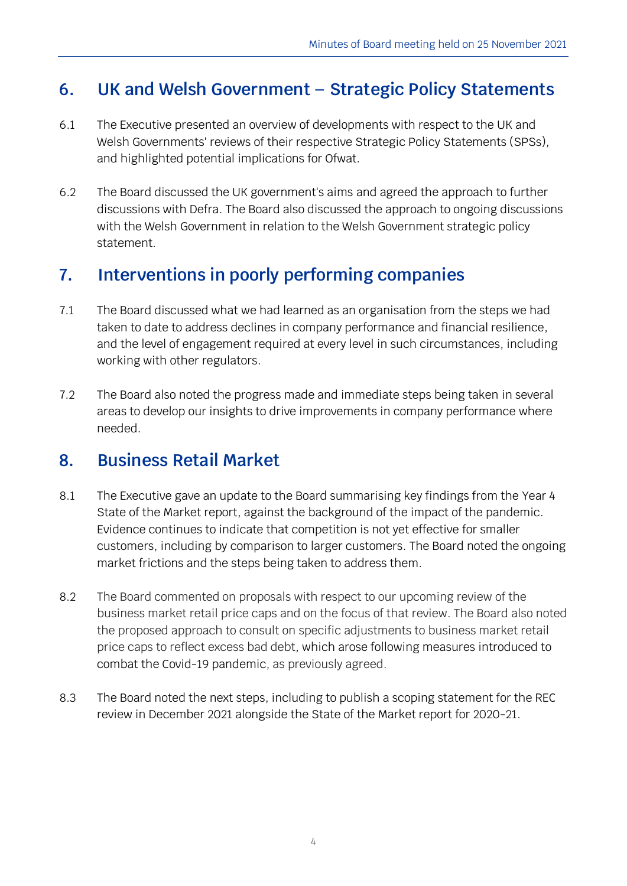### **6. UK and Welsh Government – Strategic Policy Statements**

- 6.1 The Executive presented an overview of developments with respect to the UK and Welsh Governments' reviews of their respective Strategic Policy Statements (SPSs), and highlighted potential implications for Ofwat.
- 6.2 The Board discussed the UK government's aims and agreed the approach to further discussions with Defra. The Board also discussed the approach to ongoing discussions with the Welsh Government in relation to the Welsh Government strategic policy statement.

#### **7. Interventions in poorly performing companies**

- 7.1 The Board discussed what we had learned as an organisation from the steps we had taken to date to address declines in company performance and financial resilience, and the level of engagement required at every level in such circumstances, including working with other regulators.
- 7.2 The Board also noted the progress made and immediate steps being taken in several areas to develop our insights to drive improvements in company performance where needed.

#### **8. Business Retail Market**

- 8.1 The Executive gave an update to the Board summarising key findings from the Year 4 State of the Market report, against the background of the impact of the pandemic. Evidence continues to indicate that competition is not yet effective for smaller customers, including by comparison to larger customers. The Board noted the ongoing market frictions and the steps being taken to address them.
- 8.2 The Board commented on proposals with respect to our upcoming review of the business market retail price caps and on the focus of that review. The Board also noted the proposed approach to consult on specific adjustments to business market retail price caps to reflect excess bad debt, which arose following measures introduced to combat the Covid-19 pandemic, as previously agreed.
- 8.3 The Board noted the next steps, including to publish a scoping statement for the REC review in December 2021 alongside the State of the Market report for 2020-21.